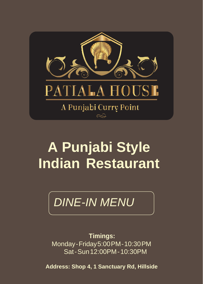

# **A Punjabi Style Indian Restaurant**

## *DINE-IN MENU*

**Timings:** Monday-Friday5:00PM-10:30PM Sat-Sun12:00PM-10:30PM

**Address: Shop 4, 1 Sanctuary Rd, Hillside**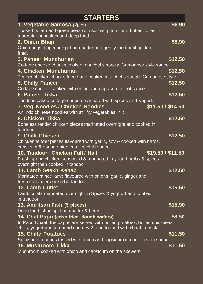| <b>STARTERS</b>                                                                                                 |         |  |
|-----------------------------------------------------------------------------------------------------------------|---------|--|
| 1. Vegetable Samosa (2pcs)                                                                                      | \$6.90  |  |
| Tossed potato and green peas with spices, plain flour, butter, rolles in<br>triangular pancakes and deep fried. |         |  |
| 2. Onion Bhaji                                                                                                  | \$6.90  |  |
| Onion rings dipped in split pea batter and gently fried until golden<br>fried.                                  |         |  |
| 3. Paneer Munchurian                                                                                            | \$12.50 |  |
| Cottage cheese chunks cooked in a chef's special Cantonese style sauce                                          |         |  |
| 4. Chicken Munchurian                                                                                           | \$12.50 |  |
| Tender chicken chunks friend and cooked in a chef's special Cantonese style                                     |         |  |
| <b>5. Chilly Paneer</b>                                                                                         | \$12.50 |  |
| Cottage cheese cooked with onion and capsicum in hot sauce.                                                     |         |  |
| 6. Paneer Tikka                                                                                                 | \$12.50 |  |
| Tandoori baked cottage cheese marinated with spices and yogurt.                                                 |         |  |
| \$11.50 / \$14.50<br><b>7. Veg Noodles / Chicken Noodles</b>                                                    |         |  |
| An indo chinese noodles with stir fry vegetables in it                                                          |         |  |
| 8. Chicken Tikka                                                                                                | \$12.50 |  |
| Boneless tender chicken pieces marinated overnight and cooked in                                                |         |  |
| tandoor                                                                                                         |         |  |
| 9. Chilli Chicken                                                                                               | \$12.50 |  |
| Chicken tender pieces flavoured with garlic, soy & cooked with herbs,                                           |         |  |
| capsicum & spring onion in a Hot chilli sauce.                                                                  |         |  |
| \$19.50 / \$11.50<br>10. Tandoori Chicken Full / Half                                                           |         |  |
| Fresh spring chicken seasoned & marinated in yogurt herbs & spices<br>overnight then cooked in tandoor.         |         |  |
| 11. Lamb Seekh Kebab                                                                                            | \$12.50 |  |
| Marinated mince lamb flavoured with onions, garlic, ginger and                                                  |         |  |
| fresh coriander cooked in tandoor                                                                               |         |  |
| 12. Lamb Cutlet                                                                                                 | \$15.50 |  |
| Lamb culets marinated overnight in Spices & yoghurt and cooked                                                  |         |  |
| in tandoor                                                                                                      |         |  |
| 13. Amritsari Fish (5 pieces)                                                                                   | \$15.90 |  |
| Deep fried fsh in split pea batter & herbs                                                                      |         |  |
| 14. Chat Papri (crisp fried dough wafers)                                                                       | \$8.50  |  |
| In Papri Chaat, the papris are served with boiled potatoes, boiled chickpeas,                                   |         |  |
| chilis, yogurt and tamarind chutney[2] and topped with chaat masala                                             |         |  |
| <b>15. Chilly Potatoes</b>                                                                                      | \$11.50 |  |
| Spicy potato cubes tossed with onion and capsicum in chefs fusion sauce.                                        |         |  |
| 16. Mushroom Tikka                                                                                              | \$11.50 |  |
| Mushroom cooked with onion and capsicum on the skewers                                                          |         |  |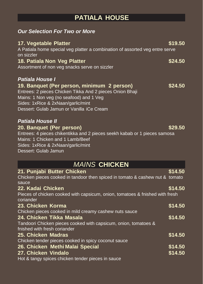### **PATIALA HOUSE**

#### *Our Selection For Two or More*

| 17. Vegetable Platter<br>A Patiala home special veg platter a combination of assorted veg entre serve<br>on sizzler                                                                    | \$19.50 |
|----------------------------------------------------------------------------------------------------------------------------------------------------------------------------------------|---------|
| 18. Patiala Non Veg Platter<br>Assortment of non veg snacks serve on sizzler                                                                                                           | \$24.50 |
| <b>Patiala House I</b><br>19. Banquet (Per person, minimum 2 person)                                                                                                                   | \$24.50 |
| Entrees: 2 pieces Chicken Tikka And 2 pieces Onion Bhaji<br>Mains: 1 Non veg (no seafood) and 1 Veg<br>Sides: 1xRice & 2xNaan/garlic/mint<br>Dessert: Gulab Jamun or Vanilla iCe Cream |         |
| <b>Patiala House II</b><br>20. Banquet (Per person)                                                                                                                                    | \$29.50 |
| Entrees: 4 pieces chikentikka and 2 pieces seekh kabab or 1 pieces samosa<br>Mains: 1 Chicken and 1 Lamb/Beef<br>Sides: 1xRice & 2xNaan/garlic/mint<br>Dessert: Gulab Jamun            |         |
| <b>MAINS CHICKEN</b>                                                                                                                                                                   |         |
| 21. Punjabi Butter Chicken<br>Chicken pieces cooked in tandoor then spiced in tomato & cashew nut & tomato<br>sauce                                                                    | \$14.50 |
| 22. Kadai Chicken<br>Pieces of chicken cooked with capsicum, onion, tomatoes & fnished with fresh                                                                                      | \$14.50 |
| coriander<br>23. Chicken Korma                                                                                                                                                         | \$14.50 |
| Chicken pieces cooked in mild creamy cashew nuts sauce                                                                                                                                 |         |
| 24. Chicken Tikka Masala<br>Tandoori Chicken pieces cooked with capsicum, onion, tomatoes &<br>fnished with fresh coriander                                                            | \$14.50 |
| 25. Chicken Madras                                                                                                                                                                     | \$14.50 |
| Chicken tender pieces cooked in spicy coconut sauce                                                                                                                                    |         |
| 26. Chicken Methi Malai Special                                                                                                                                                        | \$14.50 |

#### **27. Chicken Vindalo \$14.50**

Hot & tangy spices chicken tender pieces in sauce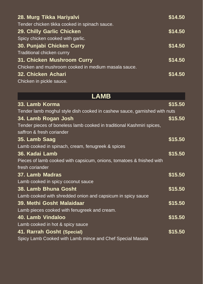| 28. Murg Tikka Hariyalvi                            | \$14.50 |
|-----------------------------------------------------|---------|
| Tender chicken tikka cooked in spinach sauce.       |         |
| 29. Chilly Garlic Chicken                           | \$14.50 |
| Spicy chicken cooked with garlic.                   |         |
| 30. Punjabi Chicken Curry                           | \$14.50 |
| Traditional chicken currry                          |         |
| 31. Chicken Mushroom Curry                          | \$14.50 |
| Chicken and mushroom cooked in medium masala sauce. |         |
| 32. Chicken Achari                                  | \$14.50 |
| Chicken in pickle sauce.                            |         |

| <b>LAMB</b>                                                               |         |
|---------------------------------------------------------------------------|---------|
| 33. Lamb Korma                                                            | \$15.50 |
| Tender lamb moghul style dish cooked in cashew sauce, garnished with nuts |         |
| 34. Lamb Rogan Josh                                                       | \$15.50 |
| Tender pieces of boneless lamb cooked in traditional Kashmiri spices,     |         |
| saffron & fresh coriander                                                 |         |
| 35. Lamb Saag                                                             | \$15.50 |
| Lamb cooked in spinach, cream, fenugreek & spices                         |         |
| 36. Kadai Lamb                                                            | \$15.50 |
| Pieces of lamb cooked with capsicum, onions, tomatoes & fnished with      |         |
| fresh coriander                                                           |         |
| 37. Lamb Madras                                                           | \$15.50 |
| Lamb cooked in spicy coconut sauce                                        |         |
| 38. Lamb Bhuna Gosht                                                      | \$15.50 |
| Lamb cooked with shredded onion and capsicum in spicy sauce               |         |
| 39. Methi Gosht Malaidaar                                                 | \$15.50 |
| Lamb pieces cooked with fenugreek and cream.                              |         |
| 40. Lamb Vindaloo                                                         | \$15.50 |
| Lamb cooked in hot & spicy sauce                                          |         |
| 41. Rarrah Gosht (Special)                                                | \$15.50 |
| Spicy Lamb Cooked with Lamb mince and Chef Special Masala                 |         |
|                                                                           |         |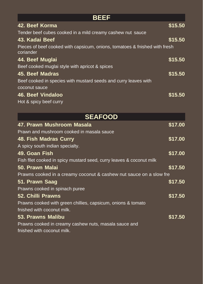| <b>BEEF</b>                                                                             |         |  |
|-----------------------------------------------------------------------------------------|---------|--|
| 42. Beef Korma                                                                          | \$15.50 |  |
| Tender beef cubes cooked in a mild creamy cashew nut sauce                              |         |  |
| 43. Kadai Beef                                                                          | \$15.50 |  |
| Pieces of beef cooked with capsicum, onions, tomatoes & fnished with fresh<br>coriander |         |  |
| 44. Beef Muglai                                                                         | \$15.50 |  |
| Beef cooked muglai style with apricot & spices                                          |         |  |
| <b>45. Beef Madras</b>                                                                  | \$15.50 |  |
| Beef cooked in species with mustard seeds and curry leaves with                         |         |  |
| coconut sauce                                                                           |         |  |
| <b>46. Beef Vindaloo</b>                                                                | \$15.50 |  |
| Hot & spicy beef curry                                                                  |         |  |
| <b>SEAFOOD</b>                                                                          |         |  |
| 47. Prawn Mushroom Masala                                                               | \$17.00 |  |
| Prawn and mushroom cooked in masala sauce                                               |         |  |
| 48. Fish Madras Curry                                                                   | \$17.00 |  |
| A spicy south indian specialty.                                                         |         |  |
| 49. Goan Fish                                                                           | \$17.00 |  |
| Fish fllet cooked in spicy mustard seed, curry leaves & coconut milk                    |         |  |
| 50. Prawn Malai                                                                         | \$17.50 |  |
| Prawns cooked in a creamy coconut & cashew nut sauce on a slow fre                      |         |  |
| 51. Prawn Saag                                                                          | \$17.50 |  |
| Prawns cooked in spinach puree                                                          |         |  |
| <b>52. Chilli Prawns</b>                                                                | \$17.50 |  |
| Prawns cooked with green chillies, capsicum, onions & tomato                            |         |  |
| fnished with coconut milk.                                                              |         |  |
| <b>53. Prawns Malibu</b>                                                                | \$17.50 |  |
| Prawns cooked in creamy cashew nuts, masala sauce and                                   |         |  |
| fnished with coconut milk.                                                              |         |  |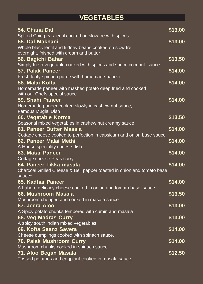### **VEGETABLES**

| 54. Chana Dal                                                                                               | \$13.00 |
|-------------------------------------------------------------------------------------------------------------|---------|
| Splited Chic-peas lentil cooked on slow fre with spices<br>55. Dal Makhani                                  | \$13.00 |
| Whole black lentil and kidney beans cooked on slow fre<br>overnight, fnished with cream and butter          |         |
| 56. Bagichi Bahar<br>Simply fresh vegetable cooked with spices and sauce coconut sauce                      | \$13.50 |
| <b>57. Palak Paneer</b>                                                                                     | \$14.00 |
| Fresh leafy spinach puree with homemade paneer<br>58. Malai Kofta                                           | \$14.00 |
| Homemade paneer with mashed potato deep fried and cooked<br>with our Chefs special sauce                    |         |
| 59. Shahi Paneer                                                                                            | \$14.00 |
| Homemade paneer cooked slowly in cashew nut sauce,<br>Famous Muglai Dish                                    |         |
| 60. Vegetable Korma                                                                                         | \$13.50 |
| Seasonal mixed vegetables in cashew nut creamy sauce                                                        |         |
| 61. Paneer Butter Masala                                                                                    | \$14.00 |
| Cottage cheese cooked to perfection in capsicum and onion base sauce                                        |         |
| 62. Paneer Malai Methi                                                                                      | \$14.00 |
| A House speciality cheese dish                                                                              |         |
| <b>63. Matar Paneer</b>                                                                                     | \$14.00 |
| Cottage cheese Peas curry                                                                                   | \$14.00 |
| 64. Paneer Tikka masala<br>Charcoal Grilled Cheese & Bell pepper toasted in onion and tomato base<br>sauce* |         |
| 65. Kadhai Paneer                                                                                           | \$14.00 |
| A Lahore delicacy cheese cooked in onion and tomato base sauce                                              |         |
| 66. Mushroom Masala                                                                                         | \$13.50 |
| Mushroom chopped and cooked in masala sauce                                                                 |         |
| 67. Jeera Aloo                                                                                              | \$13.00 |
| A Spicy potato chunks tempered with cumin and masala                                                        |         |
| 68. Veg Madras Curry                                                                                        | \$13.00 |
| A spicy south indian mixed vegetables.                                                                      |         |
| 69. Kofta Saanz Savera                                                                                      | \$14.00 |
| Cheese dumplings cooked with spinach sauce.                                                                 |         |
| <b>70. Palak Mushroom Curry</b>                                                                             | \$14.00 |
| Mushroom chunks cooked in spinach sauce.                                                                    |         |
| 71. Aloo Began Masala                                                                                       | \$12.50 |
| Tossed potatoes and eggplant cooked in masala sauce.                                                        |         |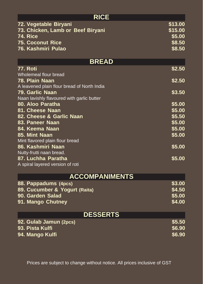| <b>RICE</b>                                 |         |  |
|---------------------------------------------|---------|--|
| 72. Vegetable Biryani                       | \$13.00 |  |
| 73. Chicken, Lamb or Beef Biryani           | \$15.00 |  |
| <b>74. Rice</b>                             | \$5.00  |  |
| <b>75. Coconut Rice</b>                     | \$8.50  |  |
| 76. Kashmiri Pulao                          | \$8.50  |  |
| <b>BREAD</b>                                |         |  |
| <b>77. Roti</b>                             | \$2.50  |  |
| Wholemeal flour bread                       |         |  |
| 78. Plain Naan                              | \$2.50  |  |
| A leavened plain flour bread of North India |         |  |
| 79. Garlic Naan                             | \$3.50  |  |
| Naan lavishly flavoured with garlic butter  |         |  |
| 80. Aloo Paratha                            | \$5.00  |  |
| 81. Cheese Naan                             | \$5.00  |  |
| 82. Cheese & Garlic Naan                    | \$5.50  |  |
| 83. Paneer Naan                             | \$5.00  |  |
| 84. Keema Naan                              | \$5.00  |  |
| 85. Mint Naan                               | \$5.00  |  |
| Mint flavored plain flour bread             |         |  |
| 86. Kashmiri Naan                           | \$5.00  |  |
| Nutty-frutti naan bread.                    |         |  |
| 87. Luchha Paratha                          | \$5.00  |  |
| A spiral layered version of roti            |         |  |
| <b>ACCOMPANIMENTS</b>                       |         |  |
| 88. Pappadums (4pcs)                        | \$3.00  |  |
| 89. Cucumber & Yogurt (Raita)               | \$4.50  |  |
| 90. Garden Salad                            | \$5.00  |  |
| 91. Mango Chutney                           | \$4.00  |  |
| <b>DESSERTS</b>                             |         |  |
| 92. Gulab Jamun (2pcs)                      | \$5.50  |  |
| 93. Pista Kulfi                             | \$6.90  |  |
| 94. Mango Kulfi                             | \$6.90  |  |
|                                             |         |  |